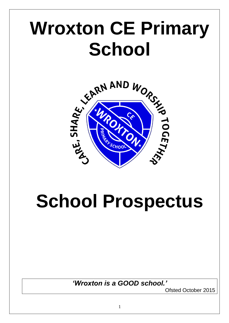# **Wroxton CE Primary School**



# **School Prospectus**

*'Wroxton is a GOOD school.'*

Ofsted October 2015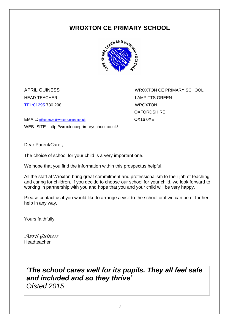### **WROXTON CE PRIMARY SCHOOL**



<TEL:01295> 730 298 WROXTON

APRIL GUINESS WROXTON CE PRIMARY SCHOOL HEAD TEACHER LAMPITTS GREEN **OXFORDSHIRF** 

EMAIL: [office.3004@wroxton.oxon.sch.uk](mailto:office.3004@wroxton.oxon.sch.uk) OX16 0XE WEB -SITE : http://wroxtonceprimaryschool.co.uk/

Dear Parent/Carer,

The choice of school for your child is a very important one.

We hope that you find the information within this prospectus helpful.

All the staff at Wroxton bring great commitment and professionalism to their job of teaching and caring for children. If you decide to choose our school for your child, we look forward to working in partnership with you and hope that you and your child will be very happy.

Please contact us if you would like to arrange a visit to the school or if we can be of further help in any way.

Yours faithfully,

*April Guiness* **Headteacher** 

## *'The school cares well for its pupils. They all feel safe and included and so they thrive' Ofsted 2015*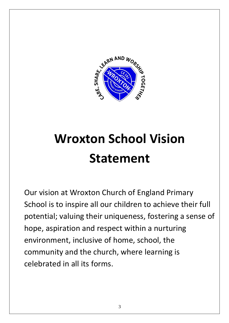

# **Wroxton School Vision Statement**

Our vision at Wroxton Church of England Primary School is to inspire all our children to achieve their full potential; valuing their uniqueness, fostering a sense of hope, aspiration and respect within a nurturing environment, inclusive of home, school, the community and the church, where learning is celebrated in all its forms.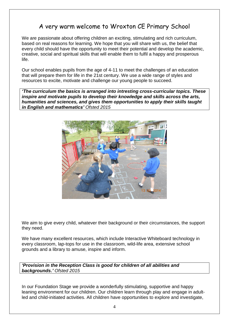### A very warm welcome to Wroxton CE Primary School

We are passionate about offering children an exciting, stimulating and rich curriculum, based on real reasons for learning. We hope that you will share with us, the belief that every child should have the opportunity to meet their potential and develop the academic, creative, social and spiritual skills that will enable them to fulfil a happy and prosperous life.

Our school enables pupils from the age of 4-11 to meet the challenges of an education that will prepare them for life in the 21st century. We use a wide range of styles and resources to excite, motivate and challenge our young people to succeed.

*'The curriculum the basics is arranged into intresting cross-curricular topics. These inspire and motivate pupils to develop their knowledge and skills across the arts, humanities and sciences, and gives them opportunities to apply their skills taught in English and mathematics' Ofsted 2015*



We aim to give every child, whatever their background or their circumstances, the support they need.

We have many excellent resources, which include Interactive Whiteboard technology in every classroom, lap-tops for use in the classroom, wild-life area, extensive school grounds and a library to amuse, inspire and inform.

*'Provision in the Reception Class is good for children of all abilities and backgrounds.' Ofsted 2015*

In our Foundation Stage we provide a wonderfully stimulating, supportive and happy leaning environment for our children. Our children learn through play and engage in adultled and child-initiated activities. All children have opportunities to explore and investigate,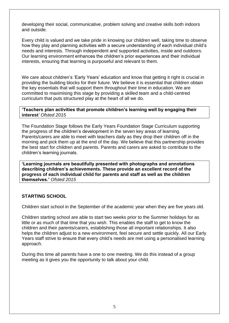developing their social, communicative, problem solving and creative skills both indoors and outside.

Every child is valued and we take pride in knowing our children well, taking time to observe how they play and planning activities with a secure understanding of each individual child's needs and interests. Through independent and supported activities, inside and outdoors. Our learning environment enhances the children's prior experiences and their individual interests, ensuring that learning is purposeful and relevant to them.

We care about children's 'Early Years' education and know that getting it right is crucial in providing the building blocks for their future. We believe it is essential that children obtain the key essentials that will support them throughout their time in education. We are committed to maximising this stage by providing a skilled team and a child-centred curriculum that puts structured play at the heart of all we do.

#### **'Teachers plan activities that promote children's learning well by engaging their interest***' Ofsted 2015*

The Foundation Stage follows the Early Years Foundation Stage Curriculum supporting the progress of the children's development in the seven key areas of learning. Parents/carers are able to meet with teachers daily as they drop their children off in the morning and pick them up at the end of the day. We believe that this partnership provides the best start for children and parents. Parents and carers are asked to contribute to the children's learning journals.

**'Learning journals are beautifully presented with photographs and annotations describing children's achievements. These provide an excellent record of the progress of each individual child for parents and staff as well as the children themselves.'** *Ofsted 2015*

#### **STARTING SCHOOL**

Children start school in the September of the academic year when they are five years old.

Children starting school are able to start two weeks prior to the Summer holidays for as little or as much of that time that you wish. This enables the staff to get to know the children and their parents/carers, establishing those all important relationships. It also helps the children adjust to a new environment, feel secure and settle quickly. All our Early Years staff strive to ensure that every child's needs are met using a personalised learning approach.

During this time all parents have a one to one meeting. We do this instead of a group meeting as it gives you the opportunity to talk about your child.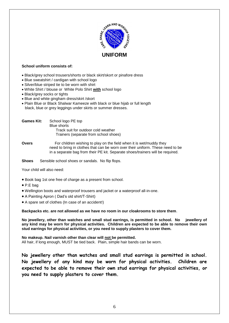

#### **School uniform consists of:**

- Black/grey school trousers/shorts or black skirt/skort or pinafore dress
- Blue sweatshirt / cardigan with school logo
- Silver/blue striped tie to be worn with shirt
- White Shirt / blouse or White Polo Shirt **with** school logo
- Black/grey socks or tights
- Blue and white gingham dress/skirt /skort
- Plain Blue or Black Shalwar Kameeze with black or blue hijab or full length black, blue or grey leggings under skirts or summer dresses.

| <b>Games Kit:</b> | School logo PE top                                        |
|-------------------|-----------------------------------------------------------|
|                   | <b>Blue shorts</b><br>Track suit for outdoor cold weather |
|                   | Trainers (separate from school shoes)                     |

- **Overs** For children wishing to play on the field when it is wet/muddy they need to bring in clothes that can be worn over their uniform. These need to be in a separate bag from their PE kit. Separate shoes/trainers will be required.
- **Shoes** Sensible school shoes or sandals. No flip flops.

Your child will also need:

- Book bag 1st one free of charge as a present from school.
- P.E bag
- Wellington boots and waterproof trousers and jacket or a waterproof all-in-one.
- A Painting Apron ( Dad's old shirt/T-Shirt)
- A spare set of clothes (In case of an accident!)

**Backpacks etc. are not allowed as we have no room in our cloakrooms to store them**.

**No jewellery, other than watches and small stud earrings, is permitted in school. No jewellery of any kind may be worn for physical activities. Children are expected to be able to remove their own stud earrings for physical activities, or you need to supply plasters to cover them.**

**No makeup. Nail varnish other than clear will not be permitted.** All hair, if long enough, MUST be tied back. Plain, simple hair bands can be worn.

**No jewellery other than watches and small stud earrings is permitted in school. No jewellery of any kind may be worn for physical activities. Children are expected to be able to remove their own stud earrings for physical activities, or you need to supply plasters to cover them.**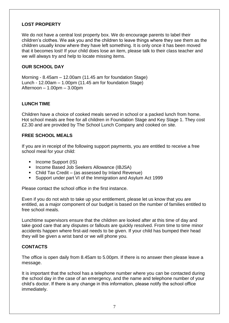#### **LOST PROPERTY**

We do not have a central lost property box. We do encourage parents to label their children's clothes. We ask you and the children to leave things where they see them as the children usually know where they have left something. It is only once it has been moved that it becomes lost! If your child does lose an item, please talk to their class teacher and we will always try and help to locate missing items.

#### **OUR SCHOOL DAY**

Morning - 8.45am – 12.00am (11.45 am for foundation Stage) Lunch - 12.00am – 1.00pm (11.45 am for foundation Stage) Afternoon – 1.00pm – 3.00pm

#### **LUNCH TIME**

Children have a choice of cooked meals served in school or a packed lunch from home. Hot school meals are free for all children in Foundation Stage and Key Stage 1. They cost £2.30 and are provided by The School Lunch Company and cooked on site.

#### **FREE SCHOOL MEALS**

If you are in receipt of the following support payments, you are entitled to receive a free school meal for your child:

- Income Support (IS)
- **Income Based Job Seekers Allowance (IBJSA)**
- Child Tax Credit (as assessed by Inland Revenue)
- Support under part VI of the Immigration and Asylum Act 1999

Please contact the school office in the first instance.

Even if you do not wish to take up your entitlement, please let us know that you are entitled, as a major component of our budget is based on the number of families entitled to free school meals.

Lunchtime supervisors ensure that the children are looked after at this time of day and take good care that any disputes or fallouts are quickly resolved. From time to time minor accidents happen where first-aid needs to be given. If your child has bumped their head they will be given a wrist band or we will phone you.

#### **CONTACTS**

The office is open daily from 8.45am to 5.00pm. If there is no answer then please leave a message.

It is important that the school has a telephone number where you can be contacted during the school day in the case of an emergency, and the name and telephone number of your child's doctor. If there is any change in this information, please notify the school office immediately.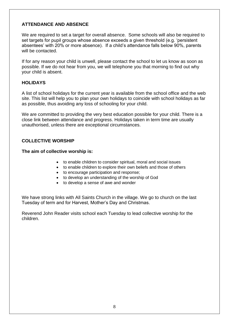#### **ATTENDANCE AND ABSENCE**

We are required to set a target for overall absence. Some schools will also be required to set targets for pupil groups whose absence exceeds a given threshold (e.g. 'persistent absentees' with 20% or more absence). If a child's attendance falls below 90%, parents will be contacted.

If for any reason your child is unwell, please contact the school to let us know as soon as possible. If we do not hear from you, we will telephone you that morning to find out why your child is absent.

#### **HOLIDAYS**

A list of school holidays for the current year is available from the school office and the web site. This list will help you to plan your own holidays to coincide with school holidays as far as possible, thus avoiding any loss of schooling for your child.

We are committed to providing the very best education possible for your child. There is a close link between attendance and progress. Holidays taken in term time are usually unauthorised, unless there are exceptional circumstances.

#### **COLLECTIVE WORSHIP**

#### **The aim of collective worship is:**

- to enable children to consider spiritual, moral and social issues
- to enable children to explore their own beliefs and those of others
- to encourage participation and response;
- to develop an understanding of the worship of God
- to develop a sense of awe and wonder

We have strong links with All Saints Church in the village. We go to church on the last Tuesday of term and for Harvest, Mother's Day and Christmas.

Reverend John Reader visits school each Tuesday to lead collective worship for the children.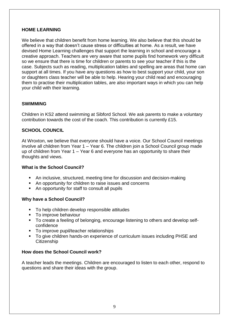#### **HOME LEARNING**

We believe that children benefit from home learning. We also believe that this should be offered in a way that doesn't cause stress or difficulties at home. As a result, we have devised Home Learning challenges that support the learning in school and encourage a creative approach. Teachers are very aware that some pupils find homework very difficult so we ensure that there is time for children or parents to see your teacher if this is the case. Subjects such as reading, multiplication tables and spelling are areas that home can support at all times. If you have any questions as how to best support your child, your son or daughters class teacher will be able to help. Hearing your child read and encouraging them to practise their multiplication tables, are also important ways in which you can help your child with their learning.

#### **SWIMMING**

Children in KS2 attend swimming at Sibford School. We ask parents to make a voluntary contribution towards the cost of the coach. This contribution is currently £15.

#### **SCHOOL COUNCIL**

At Wroxton, we believe that everyone should have a voice. Our School Council meetings involve all children from Year 1 – Year 6. The children join a School Council group made up of children from Year 1 – Year 6 and everyone has an opportunity to share their thoughts and views.

#### **What is the School Council?**

- An inclusive, structured, meeting time for discussion and decision-making
- An opportunity for children to raise issues and concerns
- An opportunity for staff to consult all pupils

#### **Why have a School Council?**

- To help children develop responsible attitudes
- To improve behaviour
- To create a feeling of belonging, encourage listening to others and develop selfconfidence
- To improve pupil/teacher relationships
- To give children hands-on experience of curriculum issues including PHSE and **Citizenship**

#### **How does the School Council work?**

A teacher leads the meetings. Children are encouraged to listen to each other, respond to questions and share their ideas with the group.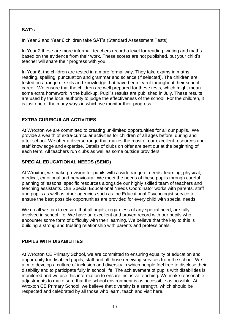#### **SAT's**

In Year 2 and Year 6 children take SAT's (Standard Assessment Tests).

In Year 2 these are more informal: teachers record a level for reading, writing and maths based on the evidence from their work. These scores are not published, but your child's teacher will share their progress with you.

In Year 6, the children are tested in a more formal way. They take exams in maths, reading, spelling, punctuation and grammar and science (if selected). The children are tested on a range of skills and knowledge that have been learnt throughout their school career. We ensure that the children are well prepared for these tests, which might mean some extra homework in the build-up. Pupil's results are published in July. These results are used by the local authority to judge the effectiveness of the school. For the children, it is just one of the many ways in which we monitor their progress.

#### **EXTRA CURRICULAR ACTIVITIES**

At Wroxton we are committed to creating un-limited opportunities for all our pupils. We provide a wealth of extra-curricular activities for children of all ages before, during and after school. We offer a diverse range that makes the most of our excellent resources and staff knowledge and expertise. Details of clubs on offer are sent out at the beginning of each term. All teachers run clubs as well as some outside providers.

#### **SPECIAL EDUCATIONAL NEEDS (SEND)**

At Wroxton, we make provision for pupils with a wide range of needs: learning, physical, medical, emotional and behavioural. We meet the needs of these pupils through careful planning of lessons, specific resources alongside our highly skilled team of teachers and teaching assistants. Our Special Educational Needs Coordinator works with parents, staff and pupils as well as other agencies such as the Educational Psychologist service to ensure the best possible opportunities are provided for every child with special needs.

We do all we can to ensure that all pupils, regardless of any special need, are fully involved in school life. We have an excellent and proven record with our pupils who encounter some form of difficulty with their learning. We believe that the key to this is building a strong and trusting relationship with parents and professionals.

#### **PUPILS WITH DISABILITIES**

At Wroxton CE Primary School, we are committed to ensuring equality of education and opportunity for disabled pupils, staff and all those receiving services from the school. We aim to develop a culture of inclusion and diversity in which people feel free to disclose their disability and to participate fully in school life. The achievement of pupils with disabilities is monitored and we use this information to ensure inclusive teaching. We make reasonable adjustments to make sure that the school environment is as accessible as possible. At Wroxton CE Primary School, we believe that diversity is a strength, which should be respected and celebrated by all those who learn, teach and visit here.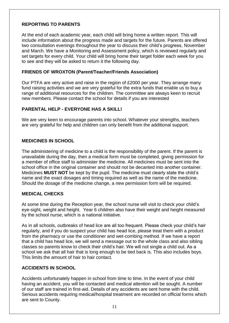#### **REPORTING TO PARENTS**

At the end of each academic year, each child will bring home a written report. This will include information about the progress made and targets for the future. Parents are offered two consultation evenings throughout the year to discuss their child's progress, November and March. We have a Monitoring and Assessment policy, which is reviewed regularly and set targets for every child. Your child will bring home their target folder each week for you to see and they will be asked to return it the following day.

#### **FRIENDS OF WROXTON (Parent/Teacher/Friends Association)**

Our PTFA are very active and raise in the region of £2000 per year. They arrange many fund raising activities and we are very grateful for the extra funds that enable us to buy a range of additional resources for the children. The committee are always keen to recruit new members. Please contact the school for details if you are interested

#### **PARENTAL HELP - EVERYONE HAS A SKILL!**

We are very keen to encourage parents into school. Whatever your strengths, teachers are very grateful for help and children can only benefit from the additional support.

#### **MEDICINES IN SCHOOL**

The administering of medicine to a child is the responsibility of the parent. If the parent is unavailable during the day, then a medical form must be completed, giving permission for a member of office staff to administer the medicine. All medicines must be sent into the school office in the original container and should not be decanted into another container. Medicines **MUST NOT** be kept by the pupil. The medicine must clearly state the child's name and the exact dosages and timing required as well as the name of the medicine. Should the dosage of the medicine change, a new permission form will be required.

#### **MEDICAL CHECKS**

At some time during the Reception year, the school nurse will visit to check your child's eye-sight, weight and height. Year 6 children also have their weight and height measured by the school nurse, which is a national initiative. .

As in all schools, outbreaks of head lice are all too frequent. Please check your child's hair regularly, and if you do suspect your child has head lice, please treat them with a product from the pharmacy or use the conditioner and wet-combing method. If we have a report that a child has head lice, we will send a message out to the whole class and also sibling classes so parents know to check their child's hair. We will not single a child out. As a school we ask that all hair that is long enough to be tied back is. This also includes boys. This limits the amount of hair to hair contact.

#### **ACCIDENTS IN SCHOOL**

Accidents unfortunately happen in school from time to time. In the event of your child having an accident, you will be contacted and medical attention will be sought. A number of our staff are trained in first-aid. Details of any accidents are sent home with the child. Serious accidents requiring medical/hospital treatment are recorded on official forms which are sent to County.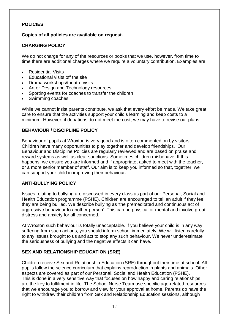#### **POLICIES**

#### **Copies of all policies are available on request.**

#### **CHARGING POLICY**

We do not charge for any of the resources or books that we use, however, from time to time there are additional charges where we require a voluntary contribution. Examples are:

- **Residential Visits**
- Educational visits off the site
- Drama workshops/theatre visits
- Art or Design and Technology resources
- Sporting events for coaches to transfer the children
- Swimming coaches

While we cannot insist parents contribute, we ask that every effort be made. We take great care to ensure that the activities support your child's learning and keep costs to a minimum. However, if donations do not meet the cost, we may have to revise our plans.

#### **BEHAVIOUR / DISCIPLINE POLICY**

Behaviour of pupils at Wroxton is very good and is often commented on by visitors. Children have many opportunities to play together and develop friendships. Our Behaviour and Discipline Policies are regularly reviewed and are based on praise and reward systems as well as clear sanctions. Sometimes children misbehave. If this happens, we ensure you are informed and if appropriate, asked to meet with the teacher, or a more senior member of staff. Our aim is to keep you informed so that, together, we can support your child in improving their behaviour.

#### **ANTI-BULLYING POLICY**

Issues relating to bullying are discussed in every class as part of our Personal, Social and Health Education programme (PSHE). Children are encouraged to tell an adult if they feel they are being bullied. We describe bullying as 'the premeditated and continuous act of aggressive behaviour to another person'. This can be physical or mental and involve great distress and anxiety for all concerned.

At Wroxton such behaviour is totally unacceptable. If you believe your child is in any way suffering from such actions, you should inform school immediately. We will listen carefully to any issues brought to us and act to stop any such behaviour. We never underestimate the seriousness of bullying and the negative effects it can have.

#### **SEX AND RELATIONSHIP EDUCATION (SRE)**

Children receive Sex and Relationship Education (SRE) throughout their time at school. All pupils follow the science curriculum that explains reproduction in plants and animals. Other aspects are covered as part of our Personal, Social and Health Education (PSHE). This is done in a very sensitive way that focuses on how happy and caring relationships are the key to fulfilment in life. The School Nurse Team use specific age-related resources that we encourage you to borrow and view for your approval at home. Parents do have the right to withdraw their children from Sex and Relationship Education sessions, although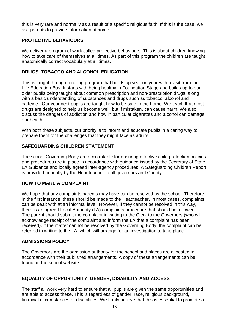this is very rare and normally as a result of a specific religious faith. If this is the case, we ask parents to provide information at home.

#### **PROTECTIVE BEHAVIOURS**

We deliver a program of work called protective behaviours. This is about children knowing how to take care of themselves at all times. As part of this program the children are taught anatomically correct vocabulary at all times.

#### **DRUGS, TOBACCO AND ALCOHOL EDUCATION**

This is taught through a rolling program that builds up year on year with a visit from the Life Education Bus. It starts with being healthy in Foundation Stage and builds up to our older pupils being taught about common prescription and non-prescription drugs, along with a basic understanding of substances and drugs such as tobacco, alcohol and caffeine. Our youngest pupils are taught how to be safe in the home. We teach that most drugs are designed to help us become well, but if mistaken, can cause harm. We also discuss the dangers of addiction and how in particular cigarettes and alcohol can damage our health.

With both these subjects, our priority is to inform and educate pupils in a caring way to prepare them for the challenges that they might face as adults.

#### **SAFEGUARDING CHILDREN STATEMENT**

The school Governing Body are accountable for ensuring effective child protection policies and procedures are in place in accordance with guidance issued by the Secretary of State, LA Guidance and locally agreed inter-agency procedures. A Safeguarding Children Report is provided annually by the Headteacher to all governors and County.

#### **HOW TO MAKE A COMPLAINT**

We hope that any complaints parents may have can be resolved by the school. Therefore in the first instance, these should be made to the Headteacher. In most cases, complaints can be dealt with at an informal level. However, if they cannot be resolved in this way, there is an agreed Local Authority (LA) complaints procedure that should be followed. The parent should submit the complaint in writing to the Clerk to the Governors (who will acknowledge receipt of the complaint and inform the LA that a complaint has been received). If the matter cannot be resolved by the Governing Body, the complaint can be referred in writing to the LA, which will arrange for an investigation to take place.

#### **ADMISSIONS POLICY**

The Governors are the admission authority for the school and places are allocated in accordance with their published arrangements. A copy of these arrangements can be found on the school website

#### **EQUALITY OF OPPORTUNITY, GENDER, DISABILITY AND ACCESS**

The staff all work very hard to ensure that all pupils are given the same opportunities and are able to access these. This is regardless of gender, race, religious background, financial circumstances or disabilities. We firmly believe that this is essential to promote a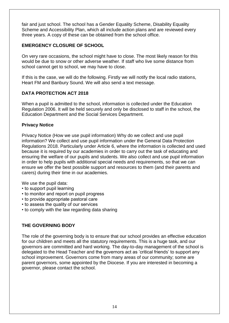fair and just school. The school has a Gender Equality Scheme, Disability Equality Scheme and Accessibility Plan, which all include action plans and are reviewed every three years. A copy of these can be obtained from the school office.

#### **EMERGENCY CLOSURE OF SCHOOL**

On very rare occasions, the school might have to close. The most likely reason for this would be due to snow or other adverse weather. If staff who live some distance from school cannot get to school, we may have to close.

If this is the case, we will do the following. Firstly we will notify the local radio stations, Heart FM and Banbury Sound. We will also send a text message.

#### **DATA PROTECTION ACT 2018**

When a pupil is admitted to the school, information is collected under the Education Regulation 2006. It will be held securely and only be disclosed to staff in the school, the Education Department and the Social Services Department.

#### **Privacy Notice**

Privacy Notice (How we use pupil information) Why do we collect and use pupil information? We collect and use pupil information under the General Data Protection Regulations 2018. Particularly under Article 6, where the information is collected and used because it is required by our academies in order to carry out the task of educating and ensuring the welfare of our pupils and students. We also collect and use pupil information in order to help pupils with additional special needs and requirements, so that we can ensure we offer the best possible support and resources to them (and their parents and carers) during their time in our academies.

We use the pupil data:

- to support pupil learning
- to monitor and report on pupil progress
- to provide appropriate pastoral care
- to assess the quality of our services
- to comply with the law regarding data sharing

#### **THE GOVERNING BODY**

The role of the governing body is to ensure that our school provides an effective education for our children and meets all the statutory requirements. This is a huge task, and our governors are committed and hard working. The day-to-day management of the school is delegated to the Head Teacher and the governors act as 'critical friends' to support any school improvement. Governors come from many areas of our community; some are parent governors, some appointed by the Diocese. If you are interested in becoming a governor, please contact the school.